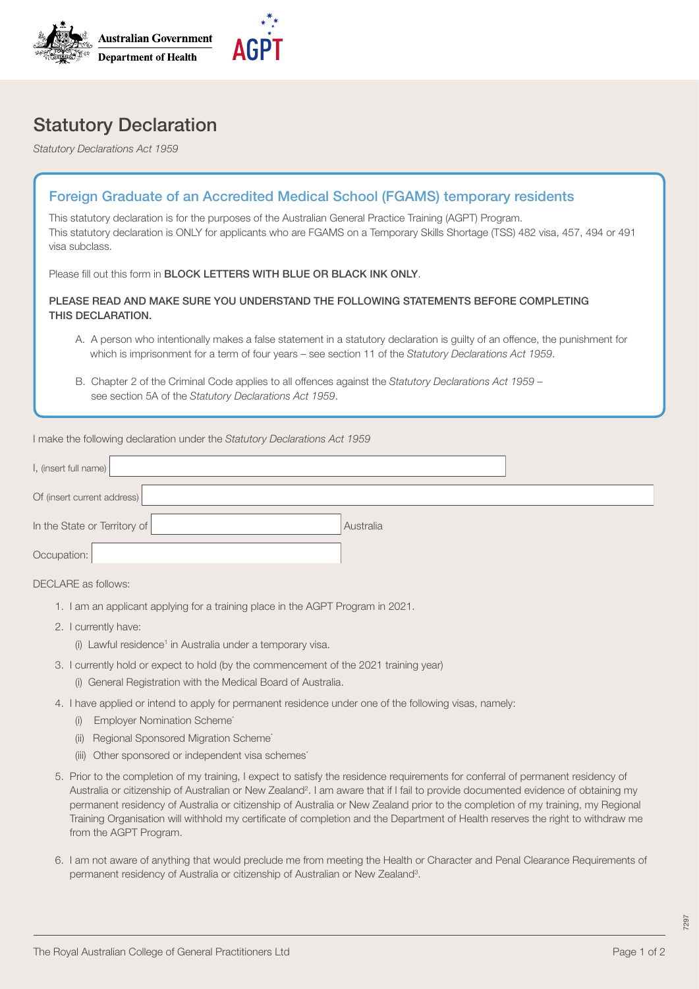

## Statutory Declaration

*Statutory Declarations Act 1959*

| <b>Foreign Graduate of an Accredited Medical School (FGAMS) temporary residents</b>                                                                                                                                                                            |
|----------------------------------------------------------------------------------------------------------------------------------------------------------------------------------------------------------------------------------------------------------------|
| This statutory declaration is for the purposes of the Australian General Practice Training (AGPT) Program.<br>This statutory declaration is ONLY for applicants who are FGAMS on a Temporary Skills Shortage (TSS) 482 visa, 457, 494 or 491<br>visa subclass. |
| Please fill out this form in <b>BLOCK LETTERS WITH BLUE OR BLACK INK ONLY</b> .                                                                                                                                                                                |
| PLEASE READ AND MAKE SURE YOU UNDERSTAND THE FOLLOWING STATEMENTS BEFORE COMPLETING<br>THIS DECLARATION.                                                                                                                                                       |
| A. A person who intentionally makes a false statement in a statutory declaration is guilty of an offence, the punishment for<br>which is imprisonment for a term of four years – see section 11 of the Statutory Declarations Act 1959.                        |
| B. Chapter 2 of the Criminal Code applies to all offences against the Statutory Declarations Act 1959 –<br>see section 5A of the Statutory Declarations Act 1959.                                                                                              |
| I make the following declaration under the Statutory Declarations Act 1959                                                                                                                                                                                     |
| I, (insert full name)                                                                                                                                                                                                                                          |
| Of (insert current address)                                                                                                                                                                                                                                    |

Occupation:

DECLARE as follows:

- 1. I am an applicant applying for a training place in the AGPT Program in 2021.
- 2. I currently have:
	- (i) Lawful residence<sup>1</sup> in Australia under a temporary visa.

In the State or Territory of **Australia** 

- 3. I currently hold or expect to hold (by the commencement of the 2021 training year)
	- (i) General Registration with the Medical Board of Australia.
- 4. I have applied or intend to apply for permanent residence under one of the following visas, namely:
	- (i) Employer Nomination Scheme<sup>\*</sup>
	- (ii) Regional Sponsored Migration Scheme<sup>\*</sup>
	- (iii) Other sponsored or independent visa schemes<sup>\*</sup>
- 5. Prior to the completion of my training, I expect to satisfy the residence requirements for conferral of permanent residency of Australia or citizenship of Australian or New Zealand<sup>2</sup>. I am aware that if I fail to provide documented evidence of obtaining my permanent residency of Australia or citizenship of Australia or New Zealand prior to the completion of my training, my Regional Training Organisation will withhold my certificate of completion and the Department of Health reserves the right to withdraw me from the AGPT Program.
- 6. I am not aware of anything that would preclude me from meeting the Health or Character and Penal Clearance Requirements of permanent residency of Australia or citizenship of Australian or New Zealand<sup>3</sup>.